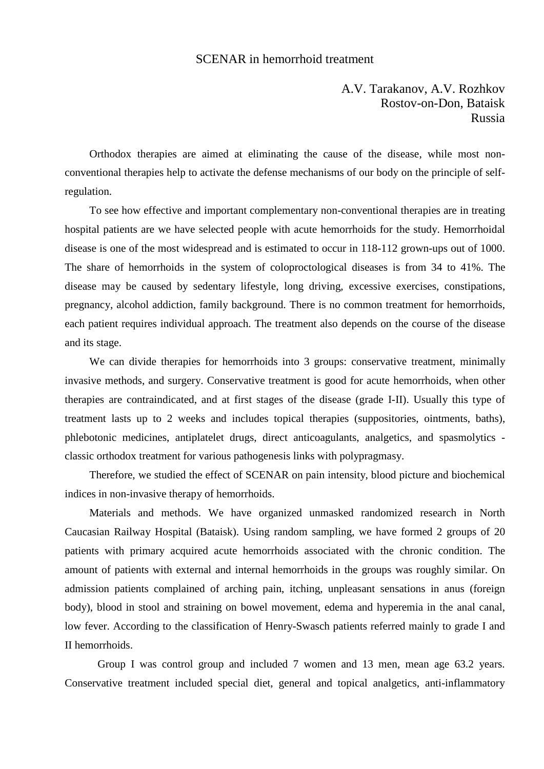## SCENAR in hemorrhoid treatment

A.V. Tarakanov, A.V. Rozhkov Rostov-on-Don, Bataisk Russia

Orthodox therapies are aimed at eliminating the cause of the disease, while most nonconventional therapies help to activate the defense mechanisms of our body on the principle of selfregulation.

To see how effective and important complementary non-conventional therapies are in treating hospital patients are we have selected people with acute hemorrhoids for the study. Hemorrhoidal disease is one of the most widespread and is estimated to occur in 118-112 grown-ups out of 1000. The share of hemorrhoids in the system of coloproctological diseases is from 34 to 41%. The disease may be caused by sedentary lifestyle, long driving, excessive exercises, constipations, pregnancy, alcohol addiction, family background. There is no common treatment for hemorrhoids, each patient requires individual approach. The treatment also depends on the course of the disease and its stage.

We can divide therapies for hemorrhoids into 3 groups: conservative treatment, minimally invasive methods, and surgery. Conservative treatment is good for acute hemorrhoids, when other therapies are contraindicated, and at first stages of the disease (grade I-II). Usually this type of treatment lasts up to 2 weeks and includes topical therapies (suppositories, ointments, baths), phlebotonic medicines, antiplatelet drugs, direct anticoagulants, analgetics, and spasmolytics classic orthodox treatment for various pathogenesis links with polypragmasy.

Therefore, we studied the effect of SCENAR on pain intensity, blood picture and biochemical indices in non-invasive therapy of hemorrhoids.

Materials and methods. We have organized unmasked randomized research in North Caucasian Railway Hospital (Bataisk). Using random sampling, we have formed 2 groups of 20 patients with primary acquired acute hemorrhoids associated with the chronic condition. The amount of patients with external and internal hemorrhoids in the groups was roughly similar. On admission patients complained of arching pain, itching, unpleasant sensations in anus (foreign body), blood in stool and straining on bowel movement, edema and hyperemia in the anal canal, low fever. According to the classification of Henry-Swasch patients referred mainly to grade I and II hemorrhoids.

Group I was control group and included 7 women and 13 men, mean age 63.2 years. Conservative treatment included special diet, general and topical analgetics, anti-inflammatory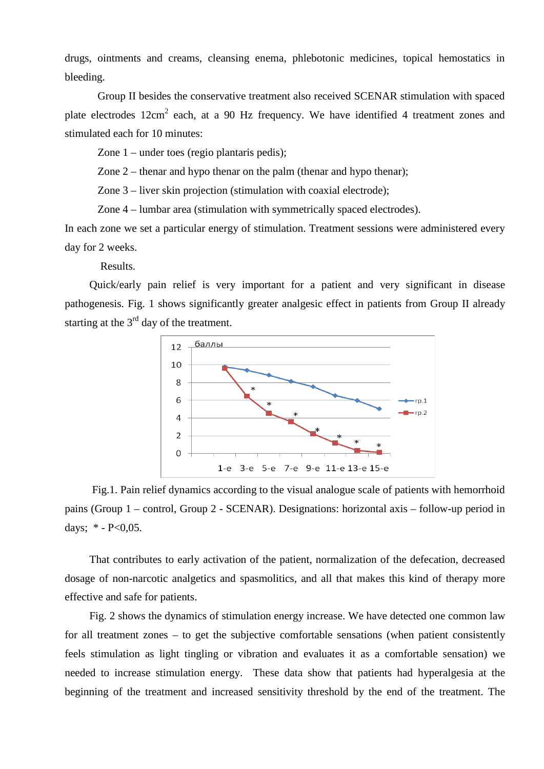drugs, ointments and creams, cleansing enema, phlebotonic medicines, topical hemostatics in bleeding.

Group II besides the conservative treatment also received SCENAR stimulation with spaced plate electrodes  $12 \text{cm}^2$  each, at a 90 Hz frequency. We have identified 4 treatment zones and stimulated each for 10 minutes:

Zone 1 – under toes (regio plantaris pedis);

Zone 2 – thenar and hypo thenar on the palm (thenar and hypo thenar);

Zone 3 – liver skin projection (stimulation with coaxial electrode);

Zone 4 – lumbar area (stimulation with symmetrically spaced electrodes).

In each zone we set a particular energy of stimulation. Treatment sessions were administered every day for 2 weeks.

Results.

Quick/early pain relief is very important for a patient and very significant in disease pathogenesis. Fig. 1 shows significantly greater analgesic effect in patients from Group II already starting at the  $3<sup>rd</sup>$  day of the treatment.



 Fig.1. Pain relief dynamics according to the visual analogue scale of patients with hemorrhoid pains (Group 1 – control, Group 2 - SCENAR). Designations: horizontal axis – follow-up period in days;  $*$  - P<0,05.

That contributes to early activation of the patient, normalization of the defecation, decreased dosage of non-narcotic analgetics and spasmolitics, and all that makes this kind of therapy more effective and safe for patients.

Fig. 2 shows the dynamics of stimulation energy increase. We have detected one common law for all treatment zones – to get the subjective comfortable sensations (when patient consistently feels stimulation as light tingling or vibration and evaluates it as a comfortable sensation) we needed to increase stimulation energy. These data show that patients had hyperalgesia at the beginning of the treatment and increased sensitivity threshold by the end of the treatment. The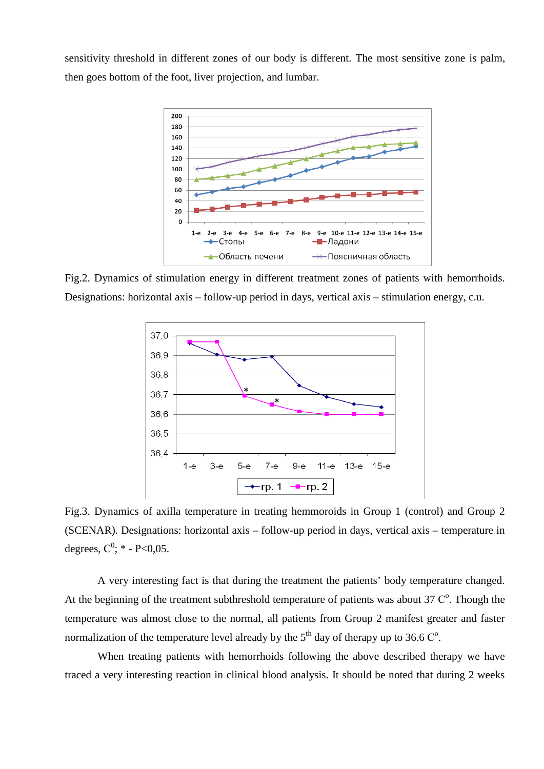sensitivity threshold in different zones of our body is different. The most sensitive zone is palm, then goes bottom of the foot, liver projection, and lumbar.



Fig.2. Dynamics of stimulation energy in different treatment zones of patients with hemorrhoids. Designations: horizontal axis – follow-up period in days, vertical axis – stimulation energy, c.u.



Fig.3. Dynamics of axilla temperature in treating hemmoroids in Group 1 (control) and Group 2 (SCENAR). Designations: horizontal axis – follow-up period in days, vertical axis – temperature in degrees,  $C^0$ ; \* - P<0,05.

A very interesting fact is that during the treatment the patients' body temperature changed. At the beginning of the treatment subthreshold temperature of patients was about  $37 \, \mathrm{C}^{\circ}$ . Though the temperature was almost close to the normal, all patients from Group 2 manifest greater and faster normalization of the temperature level already by the  $5<sup>th</sup>$  day of therapy up to 36.6  $C<sup>o</sup>$ .

When treating patients with hemorrhoids following the above described therapy we have traced a very interesting reaction in clinical blood analysis. It should be noted that during 2 weeks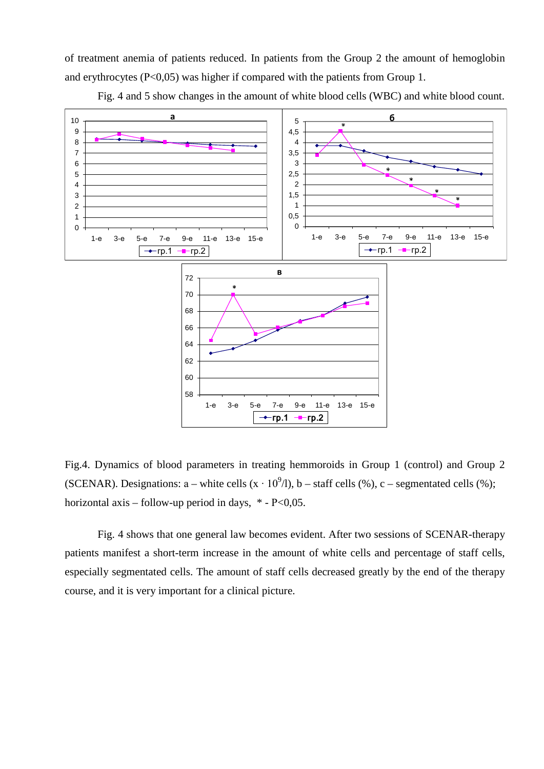of treatment anemia of patients reduced. In patients from the Group 2 the amount of hemoglobin and erythrocytes  $(P<0.05)$  was higher if compared with the patients from Group 1.



Fig. 4 and 5 show changes in the amount of white blood cells (WBC) and white blood count.

Fig.4. Dynamics of blood parameters in treating hemmoroids in Group 1 (control) and Group 2 (SCENAR). Designations: a – white cells  $(x \cdot 10^{9}/)$ , b – staff cells (%), c – segmentated cells (%); horizontal axis – follow-up period in days,  $*$  - P<0,05.

Fig. 4 shows that one general law becomes evident. After two sessions of SCENAR-therapy patients manifest a short-term increase in the amount of white cells and percentage of staff cells, especially segmentated cells. The amount of staff cells decreased greatly by the end of the therapy course, and it is very important for a clinical picture.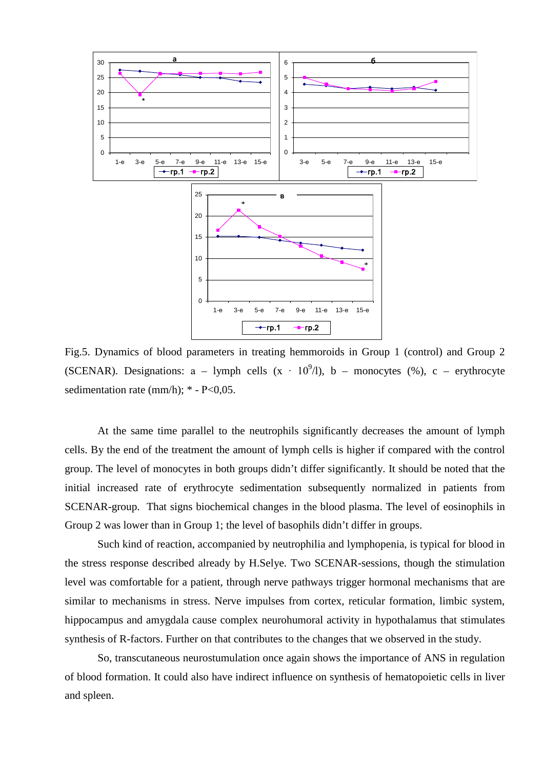

Fig.5. Dynamics of blood parameters in treating hemmoroids in Group 1 (control) and Group 2 (SCENAR). Designations: a – lymph cells  $(x \cdot 10^9/1)$ , b – monocytes (%), c – erythrocyte sedimentation rate (mm/h);  $*$  - P<0,05.

At the same time parallel to the neutrophils significantly decreases the amount of lymph cells. By the end of the treatment the amount of lymph cells is higher if compared with the control group. The level of monocytes in both groups didn't differ significantly. It should be noted that the initial increased rate of erythrocyte sedimentation subsequently normalized in patients from SCENAR-group. That signs biochemical changes in the blood plasma. The level of eosinophils in Group 2 was lower than in Group 1; the level of basophils didn't differ in groups.

Such kind of reaction, accompanied by neutrophilia and lymphopenia, is typical for blood in the stress response described already by H.Selye. Two SCENAR-sessions, though the stimulation level was comfortable for a patient, through nerve pathways trigger hormonal mechanisms that are similar to mechanisms in stress. Nerve impulses from cortex, reticular formation, limbic system, hippocampus and amygdala cause complex neurohumoral activity in hypothalamus that stimulates synthesis of R-factors. Further on that contributes to the changes that we observed in the study.

So, transcutaneous neurostumulation once again shows the importance of ANS in regulation of blood formation. It could also have indirect influence on synthesis of hematopoietic cells in liver and spleen.